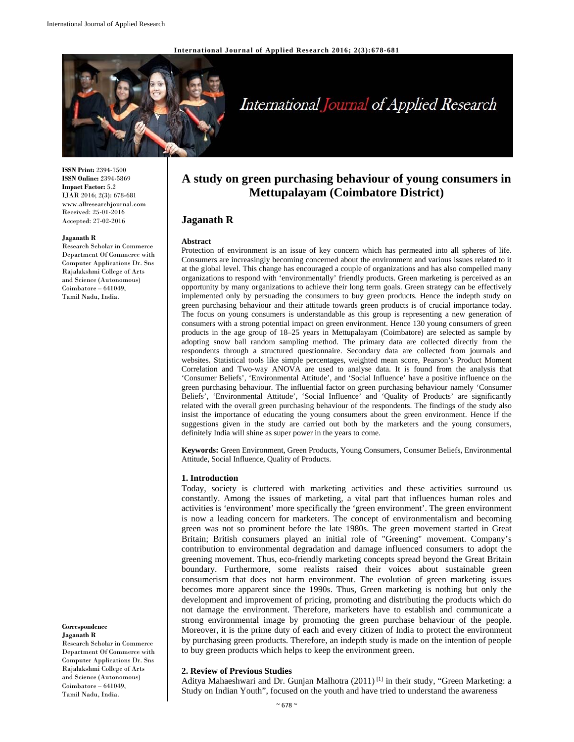**International Journal of Applied Research 2016; 2(3):678-681** 



# International Journal of Applied Research

**ISSN Print:** 2394-7500 **ISSN Online:** 2394-5869 **Impact Factor:** 5.2 IJAR 2016; 2(3): 678-681 www.allresearchjournal.com Received: 25-01-2016 Accepted: 27-02-2016

#### **Jaganath R**

Research Scholar in Commerce Department Of Commerce with Computer Applications Dr. Sns Rajalakshmi College of Arts and Science (Autonomous) Coimbatore – 641049, Tamil Nadu, India.

#### **Correspondence Jaganath R**

Research Scholar in Commerce Department Of Commerce with Computer Applications Dr. Sns Rajalakshmi College of Arts and Science (Autonomous) Coimbatore – 641049, Tamil Nadu, India.

# **A study on green purchasing behaviour of young consumers in Mettupalayam (Coimbatore District)**

# **Jaganath R**

#### **Abstract**

Protection of environment is an issue of key concern which has permeated into all spheres of life. Consumers are increasingly becoming concerned about the environment and various issues related to it at the global level. This change has encouraged a couple of organizations and has also compelled many organizations to respond with 'environmentally' friendly products. Green marketing is perceived as an opportunity by many organizations to achieve their long term goals. Green strategy can be effectively implemented only by persuading the consumers to buy green products. Hence the indepth study on green purchasing behaviour and their attitude towards green products is of crucial importance today. The focus on young consumers is understandable as this group is representing a new generation of consumers with a strong potential impact on green environment. Hence 130 young consumers of green products in the age group of 18–25 years in Mettupalayam (Coimbatore) are selected as sample by adopting snow ball random sampling method. The primary data are collected directly from the respondents through a structured questionnaire. Secondary data are collected from journals and websites. Statistical tools like simple percentages, weighted mean score, Pearson's Product Moment Correlation and Two-way ANOVA are used to analyse data. It is found from the analysis that 'Consumer Beliefs', 'Environmental Attitude', and 'Social Influence' have a positive influence on the green purchasing behaviour. The influential factor on green purchasing behaviour namely 'Consumer Beliefs', 'Environmental Attitude', 'Social Influence' and 'Quality of Products' are significantly related with the overall green purchasing behaviour of the respondents. The findings of the study also insist the importance of educating the young consumers about the green environment. Hence if the suggestions given in the study are carried out both by the marketers and the young consumers, definitely India will shine as super power in the years to come.

**Keywords:** Green Environment, Green Products, Young Consumers, Consumer Beliefs, Environmental Attitude, Social Influence, Quality of Products.

#### **1. Introduction**

Today, society is cluttered with marketing activities and these activities surround us constantly. Among the issues of marketing, a vital part that influences human roles and activities is 'environment' more specifically the 'green environment'. The green environment is now a leading concern for marketers. The concept of environmentalism and becoming green was not so prominent before the late 1980s. The green movement started in Great Britain; British consumers played an initial role of "Greening" movement. Company's contribution to environmental degradation and damage influenced consumers to adopt the greening movement. Thus, eco-friendly marketing concepts spread beyond the Great Britain boundary. Furthermore, some realists raised their voices about sustainable green consumerism that does not harm environment. The evolution of green marketing issues becomes more apparent since the 1990s. Thus, Green marketing is nothing but only the development and improvement of pricing, promoting and distributing the products which do not damage the environment. Therefore, marketers have to establish and communicate a strong environmental image by promoting the green purchase behaviour of the people. Moreover, it is the prime duty of each and every citizen of India to protect the environment by purchasing green products. Therefore, an indepth study is made on the intention of people to buy green products which helps to keep the environment green.

#### **2. Review of Previous Studies**

Aditya Mahaeshwari and Dr. Gunjan Malhotra (2011)<sup>[1]</sup> in their study, "Green Marketing: a Study on Indian Youth", focused on the youth and have tried to understand the awareness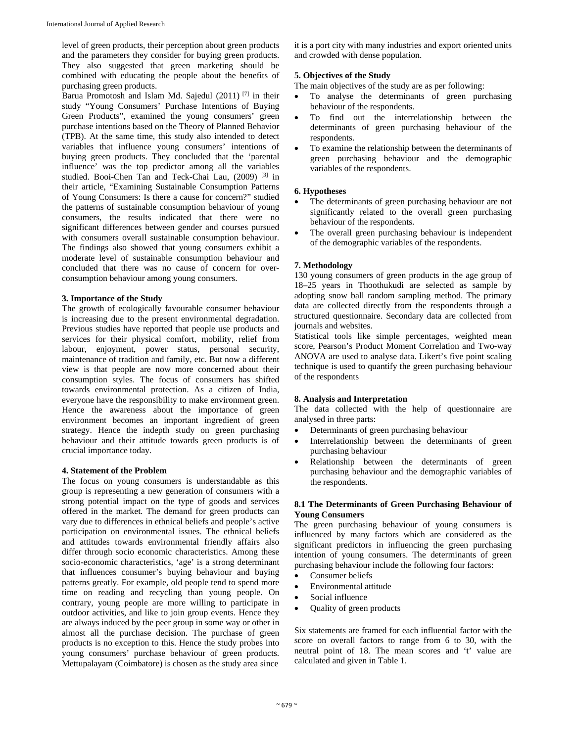level of green products, their perception about green products and the parameters they consider for buying green products. They also suggested that green marketing should be combined with educating the people about the benefits of purchasing green products.

Barua Promotosh and Islam Md. Sajedul (2011) [7] in their study "Young Consumers' Purchase Intentions of Buying Green Products", examined the young consumers' green purchase intentions based on the Theory of Planned Behavior (TPB). At the same time, this study also intended to detect variables that influence young consumers' intentions of buying green products. They concluded that the 'parental influence' was the top predictor among all the variables studied. Booi-Chen Tan and Teck-Chai Lau, (2009) [3] in their article, "Examining Sustainable Consumption Patterns of Young Consumers: Is there a cause for concern?" studied the patterns of sustainable consumption behaviour of young consumers, the results indicated that there were no significant differences between gender and courses pursued with consumers overall sustainable consumption behaviour. The findings also showed that young consumers exhibit a moderate level of sustainable consumption behaviour and concluded that there was no cause of concern for overconsumption behaviour among young consumers.

#### **3. Importance of the Study**

The growth of ecologically favourable consumer behaviour is increasing due to the present environmental degradation. Previous studies have reported that people use products and services for their physical comfort, mobility, relief from labour, enjoyment, power status, personal security, maintenance of tradition and family, etc. But now a different view is that people are now more concerned about their consumption styles. The focus of consumers has shifted towards environmental protection. As a citizen of India, everyone have the responsibility to make environment green. Hence the awareness about the importance of green environment becomes an important ingredient of green strategy. Hence the indepth study on green purchasing behaviour and their attitude towards green products is of crucial importance today.

#### **4. Statement of the Problem**

The focus on young consumers is understandable as this group is representing a new generation of consumers with a strong potential impact on the type of goods and services offered in the market. The demand for green products can vary due to differences in ethnical beliefs and people's active participation on environmental issues. The ethnical beliefs and attitudes towards environmental friendly affairs also differ through socio economic characteristics. Among these socio-economic characteristics, 'age' is a strong determinant that influences consumer's buying behaviour and buying patterns greatly. For example, old people tend to spend more time on reading and recycling than young people. On contrary, young people are more willing to participate in outdoor activities, and like to join group events. Hence they are always induced by the peer group in some way or other in almost all the purchase decision. The purchase of green products is no exception to this. Hence the study probes into young consumers' purchase behaviour of green products. Mettupalayam (Coimbatore) is chosen as the study area since

it is a port city with many industries and export oriented units and crowded with dense population.

#### **5. Objectives of the Study**

The main objectives of the study are as per following:

- To analyse the determinants of green purchasing behaviour of the respondents.
- To find out the interrelationship between the determinants of green purchasing behaviour of the respondents.
- To examine the relationship between the determinants of green purchasing behaviour and the demographic variables of the respondents.

#### **6. Hypotheses**

- The determinants of green purchasing behaviour are not significantly related to the overall green purchasing behaviour of the respondents.
- The overall green purchasing behaviour is independent of the demographic variables of the respondents.

#### **7. Methodology**

130 young consumers of green products in the age group of 18–25 years in Thoothukudi are selected as sample by adopting snow ball random sampling method. The primary data are collected directly from the respondents through a structured questionnaire. Secondary data are collected from journals and websites.

Statistical tools like simple percentages, weighted mean score, Pearson's Product Moment Correlation and Two-way ANOVA are used to analyse data. Likert's five point scaling technique is used to quantify the green purchasing behaviour of the respondents

#### **8. Analysis and Interpretation**

The data collected with the help of questionnaire are analysed in three parts:

- Determinants of green purchasing behaviour
- Interrelationship between the determinants of green purchasing behaviour
- Relationship between the determinants of green purchasing behaviour and the demographic variables of the respondents.

#### **8.1 The Determinants of Green Purchasing Behaviour of Young Consumers**

The green purchasing behaviour of young consumers is influenced by many factors which are considered as the significant predictors in influencing the green purchasing intention of young consumers. The determinants of green purchasing behaviour include the following four factors:

- Consumer beliefs
- Environmental attitude
- Social influence
- Quality of green products

Six statements are framed for each influential factor with the score on overall factors to range from 6 to 30, with the neutral point of 18. The mean scores and 't' value are calculated and given in Table 1.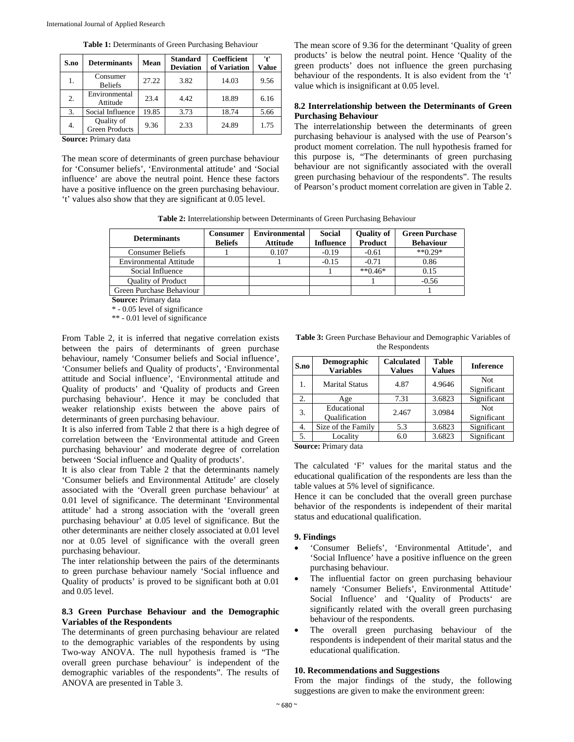| S.no             | <b>Determinants</b>                 | Mean  | <b>Standard</b><br><b>Deviation</b> | <b>Coefficient</b><br>of Variation | 't'<br><b>Value</b> |
|------------------|-------------------------------------|-------|-------------------------------------|------------------------------------|---------------------|
| 1.               | Consumer<br><b>Beliefs</b>          | 27.22 | 3.82                                | 14.03                              | 9.56                |
| $\overline{2}$ . | Environmental<br>Attitude           | 23.4  | 4.42                                | 18.89                              | 6.16                |
| 3.               | Social Influence                    | 19.85 | 3.73                                | 18.74                              | 5.66                |
| 4.               | Quality of<br><b>Green Products</b> | 9.36  | 2.33                                | 24.89                              | 1.75                |

**Table 1:** Determinants of Green Purchasing Behaviour

**Source:** Primary data

The mean score of determinants of green purchase behaviour for 'Consumer beliefs', 'Environmental attitude' and 'Social influence' are above the neutral point. Hence these factors have a positive influence on the green purchasing behaviour. 't' values also show that they are significant at 0.05 level.

The mean score of 9.36 for the determinant 'Quality of green products' is below the neutral point. Hence 'Quality of the green products' does not influence the green purchasing behaviour of the respondents. It is also evident from the 't' value which is insignificant at 0.05 level.

### **8.2 Interrelationship between the Determinants of Green Purchasing Behaviour**

The interrelationship between the determinants of green purchasing behaviour is analysed with the use of Pearson's product moment correlation. The null hypothesis framed for this purpose is, "The determinants of green purchasing behaviour are not significantly associated with the overall green purchasing behaviour of the respondents". The results of Pearson's product moment correlation are given in Table 2.

**Table 2:** Interrelationship between Determinants of Green Purchasing Behaviour

| <b>Determinants</b>           | <b>Consumer</b><br><b>Beliefs</b> | <b>Environmental</b><br><b>Attitude</b> | <b>Social</b><br><b>Influence</b> | Quality of<br>Product | <b>Green Purchase</b><br><b>Behaviour</b> |
|-------------------------------|-----------------------------------|-----------------------------------------|-----------------------------------|-----------------------|-------------------------------------------|
| <b>Consumer Beliefs</b>       |                                   | 0.107                                   | $-0.19$                           | $-0.61$               | $**0.29*$                                 |
| <b>Environmental Attitude</b> |                                   |                                         | $-0.15$                           | $-0.71$               | 0.86                                      |
| Social Influence              |                                   |                                         |                                   | $*$ $*$ 046 $*$       | 0.15                                      |
| <b>Ouality of Product</b>     |                                   |                                         |                                   |                       | $-0.56$                                   |
| Green Purchase Behaviour      |                                   |                                         |                                   |                       |                                           |

**Source:** Primary data

\* - 0.05 level of significance

\*\* - 0.01 level of significance

From Table 2, it is inferred that negative correlation exists between the pairs of determinants of green purchase behaviour, namely 'Consumer beliefs and Social influence', 'Consumer beliefs and Quality of products', 'Environmental attitude and Social influence', 'Environmental attitude and Quality of products' and 'Quality of products and Green purchasing behaviour'. Hence it may be concluded that weaker relationship exists between the above pairs of determinants of green purchasing behaviour.

It is also inferred from Table 2 that there is a high degree of correlation between the 'Environmental attitude and Green purchasing behaviour' and moderate degree of correlation between 'Social influence and Quality of products'.

It is also clear from Table 2 that the determinants namely 'Consumer beliefs and Environmental Attitude' are closely associated with the 'Overall green purchase behaviour' at 0.01 level of significance. The determinant 'Environmental attitude' had a strong association with the 'overall green purchasing behaviour' at 0.05 level of significance. But the other determinants are neither closely associated at 0.01 level nor at 0.05 level of significance with the overall green purchasing behaviour.

The inter relationship between the pairs of the determinants to green purchase behaviour namely 'Social influence and Quality of products' is proved to be significant both at 0.01 and 0.05 level.

#### **8.3 Green Purchase Behaviour and the Demographic Variables of the Respondents**

The determinants of green purchasing behaviour are related to the demographic variables of the respondents by using Two-way ANOVA. The null hypothesis framed is "The overall green purchase behaviour' is independent of the demographic variables of the respondents". The results of ANOVA are presented in Table 3.

**Table 3:** Green Purchase Behaviour and Demographic Variables of the Respondents

| S.no                | Demographic<br><b>Variables</b> | <b>Calculated</b><br><b>Values</b> | <b>Table</b><br><b>Values</b> | <b>Inference</b>          |  |  |
|---------------------|---------------------------------|------------------------------------|-------------------------------|---------------------------|--|--|
| 1.                  | <b>Marital Status</b>           | 4.87                               | 4.9646                        | <b>Not</b><br>Significant |  |  |
| 2.                  | Age                             | 7.31                               | 3.6823                        | Significant               |  |  |
| 3.                  | Educational<br>Oualification    | 2.467                              | 3.0984                        | <b>Not</b><br>Significant |  |  |
| 4.                  | Size of the Family              | 5.3                                | 3.6823                        | Significant               |  |  |
| 5.                  | Locality                        | 6.0                                | 3.6823                        | Significant               |  |  |
| Course Drimow, data |                                 |                                    |                               |                           |  |  |

**Source:** Primary data

The calculated 'F' values for the marital status and the educational qualification of the respondents are less than the table values at 5% level of significance.

Hence it can be concluded that the overall green purchase behavior of the respondents is independent of their marital status and educational qualification.

# **9. Findings**

- 'Consumer Beliefs', 'Environmental Attitude', and 'Social Influence' have a positive influence on the green purchasing behaviour.
- The influential factor on green purchasing behaviour namely 'Consumer Beliefs', Environmental Attitude' Social Influence' and 'Quality of Products' are significantly related with the overall green purchasing behaviour of the respondents.
- The overall green purchasing behaviour of the respondents is independent of their marital status and the educational qualification.

#### **10. Recommendations and Suggestions**

From the major findings of the study, the following suggestions are given to make the environment green: